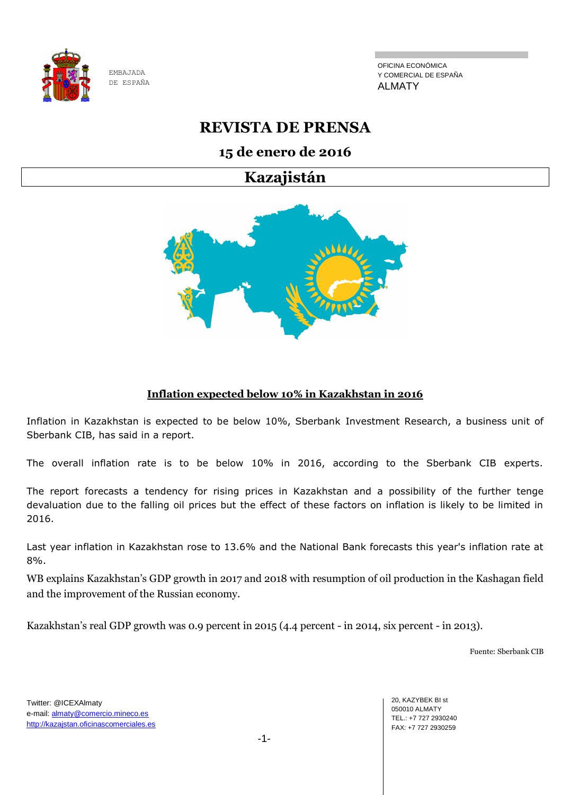

OFICINA ECONÓMICA Y COMERCIAL DE ESPAÑA ALMATY

# **REVISTA DE PRENSA**

## **15 de enero de 2016**

**Kazajistán**



#### **Inflation expected below 10% in Kazakhstan in 2016**

Inflation in Kazakhstan is expected to be below 10%, Sberbank Investment Research, a business unit of Sberbank CIB, has said in a report.

The overall inflation rate is to be below 10% in 2016, according to the Sberbank CIB experts.

The report forecasts a tendency for rising prices in Kazakhstan and a possibility of the further tenge devaluation due to the falling oil prices but the effect of these factors on inflation is likely to be limited in 2016.

Last year inflation in Kazakhstan rose to 13.6% and the National Bank forecasts this year's inflation rate at 8%.

WB explains Kazakhstan's GDP growth in 2017 and 2018 with resumption of oil production in the Kashagan field and the improvement of the Russian economy.

Kazakhstan's real GDP growth was 0.9 percent in 2015 (4.4 percent - in 2014, six percent - in 2013).

Fuente: Sberbank CIB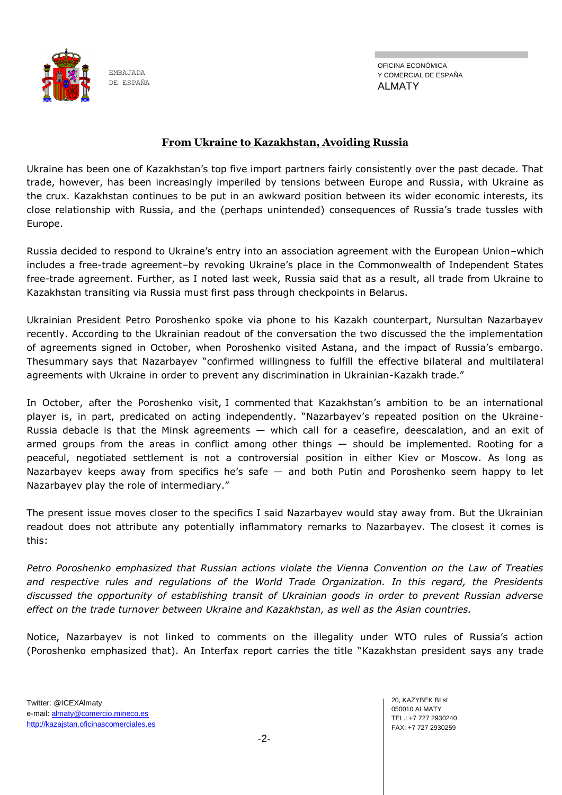

OFICINA ECONÓMICA Y COMERCIAL DE ESPAÑA ALMATY

#### **From Ukraine to Kazakhstan, Avoiding Russia**

Ukraine has been one of Kazakhstan's top five import partners fairly consistently over the past decade. That trade, however, has been increasingly imperiled by tensions between Europe and Russia, with Ukraine as the crux. Kazakhstan continues to be put in an awkward position between its wider economic interests, its close relationship with Russia, and the (perhaps unintended) consequences of Russia's trade tussles with Europe.

Russia decided to respond to Ukraine's entry into an association agreement with the European Union–which includes a free-trade agreement–by revoking Ukraine's place in the Commonwealth of Independent States free-trade agreement. Further, as [I noted last week,](http://thediplomat.com/2016/01/trade-between-kazakhstan-and-ukraine-just-got-more-difficult/) Russia said that as a result, all trade from Ukraine to Kazakhstan transiting via Russia must first pass through checkpoints in Belarus.

Ukrainian President Petro Poroshenko spoke via phone to his Kazakh counterpart, Nursultan Nazarbayev recently. According to the Ukrainian readout of the conversation the two discussed the the implementation of agreements signed in October, when Poroshenko visited Astana, and the impact of Russia's embargo. Th[esummary](http://www.president.gov.ua/en/news/glava-derzhavi-proviv-telefonnu-rozmovu-z-prezidentom-respub-36605) says that Nazarbayev "confirmed willingness to fulfill the effective bilateral and multilateral agreements with Ukraine in order to prevent any discrimination in Ukrainian-Kazakh trade."

In October, after the Poroshenko visit, [I commented](http://thediplomat.com/2015/10/kazakhstan-deftly-balances-relations-with-ukraine-and-russia/) that Kazakhstan's ambition to be an international player is, in part, predicated on acting independently. "Nazarbayev's repeated position on the Ukraine-Russia debacle is that the Minsk agreements — which call for a ceasefire, deescalation, and an exit of armed groups from the areas in conflict among other things — should be implemented. Rooting for a peaceful, negotiated settlement is not a controversial position in either Kiev or Moscow. As long as Nazarbayev keeps away from specifics he's safe — and both Putin and Poroshenko seem happy to let Nazarbayev play the role of intermediary."

The present issue moves closer to the specifics I said Nazarbayev would stay away from. But the Ukrainian readout does not attribute any potentially inflammatory remarks to Nazarbayev. The [closest it comes is](http://www.president.gov.ua/en/news/glava-derzhavi-proviv-telefonnu-rozmovu-z-prezidentom-respub-36605)  [this:](http://www.president.gov.ua/en/news/glava-derzhavi-proviv-telefonnu-rozmovu-z-prezidentom-respub-36605)

*Petro Poroshenko emphasized that Russian actions violate the Vienna Convention on the Law of Treaties and respective rules and regulations of the World Trade Organization. In this regard, the Presidents discussed the opportunity of establishing transit of Ukrainian goods in order to prevent Russian adverse effect on the trade turnover between Ukraine and Kazakhstan, as well as the Asian countries.*

Notice, Nazarbayev is not linked to comments on the illegality under WTO rules of Russia's action (Poroshenko emphasized that). An Interfax report carries the title "Kazakhstan president says any trade

20, KAZYBEK BI st 050010 ALMATY TEL.: +7 727 2930240 FAX: +7 727 2930259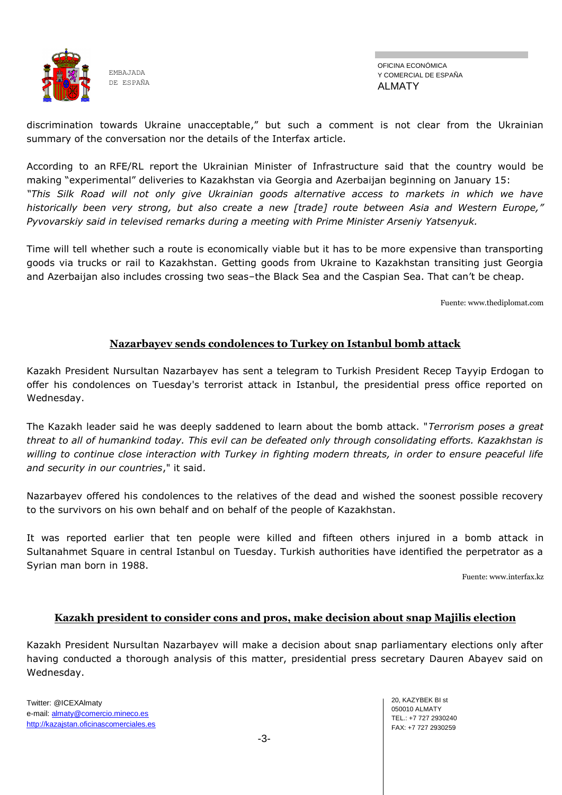

OFICINA ECONÓMICA Y COMERCIAL DE ESPAÑA ALMATY

discrimination towards Ukraine unacceptable," but such a comment is not clear from the Ukrainian summary of the conversation nor the details of the Interfax article.

According to an [RFE/RL report](http://www.rferl.org/content/ukraine-goods-kazakhstan-bypassing-russia/27486101.html) the Ukrainian Minister of Infrastructure said that the country would be making "experimental" deliveries to Kazakhstan via Georgia and Azerbaijan beginning on January 15: *"This Silk Road will not only give Ukrainian goods alternative access to markets in which we have historically been very strong, but also create a new [trade] route between Asia and Western Europe," Pyvovarskiy said in televised remarks during a meeting with Prime Minister Arseniy Yatsenyuk.*

Time will tell whether such a route is economically viable but it has to be more expensive than transporting goods via trucks or rail to Kazakhstan. Getting goods from Ukraine to Kazakhstan transiting just Georgia and Azerbaijan also includes crossing two seas–the Black Sea and the Caspian Sea. That can't be cheap.

Fuente: www.thediplomat.com

#### **Nazarbayev sends condolences to Turkey on Istanbul bomb attack**

Kazakh President Nursultan Nazarbayev has sent a telegram to Turkish President Recep Tayyip Erdogan to offer his condolences on Tuesday's terrorist attack in Istanbul, the presidential press office reported on Wednesday.

The Kazakh leader said he was deeply saddened to learn about the bomb attack. "*Terrorism poses a great threat to all of humankind today. This evil can be defeated only through consolidating efforts. Kazakhstan is willing to continue close interaction with Turkey in fighting modern threats, in order to ensure peaceful life and security in our countries*," it said.

Nazarbayev offered his condolences to the relatives of the dead and wished the soonest possible recovery to the survivors on his own behalf and on behalf of the people of Kazakhstan.

It was reported earlier that ten people were killed and fifteen others injured in a bomb attack in Sultanahmet Square in central Istanbul on Tuesday. Turkish authorities have identified the perpetrator as a Syrian man born in 1988.

Fuente[: www.interfax.kz](https://www.interfax.kz/)

#### **Kazakh president to consider cons and pros, make decision about snap Majilis election**

Kazakh President Nursultan Nazarbayev will make a decision about snap parliamentary elections only after having conducted a thorough analysis of this matter, presidential press secretary Dauren Abayev said on Wednesday.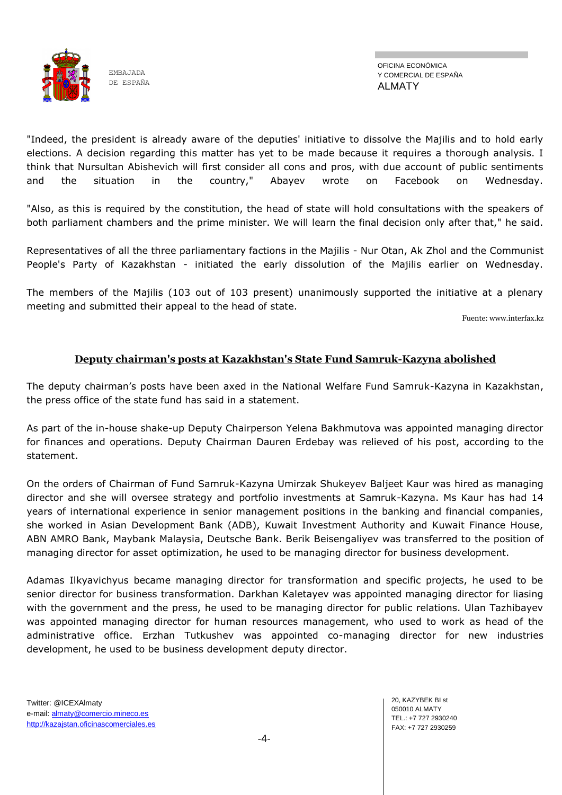

"Indeed, the president is already aware of the deputies' initiative to dissolve the Majilis and to hold early elections. A decision regarding this matter has yet to be made because it requires a thorough analysis. I think that Nursultan Abishevich will first consider all cons and pros, with due account of public sentiments and the situation in the country," Abayev wrote on Facebook on Wednesday.

"Also, as this is required by the constitution, the head of state will hold consultations with the speakers of both parliament chambers and the prime minister. We will learn the final decision only after that," he said.

Representatives of all the three parliamentary factions in the Majilis - Nur Otan, Ak Zhol and the Communist People's Party of Kazakhstan - initiated the early dissolution of the Majilis earlier on Wednesday.

The members of the Majilis (103 out of 103 present) unanimously supported the initiative at a plenary meeting and submitted their appeal to the head of state.

Fuente[: www.interfax.kz](https://www.interfax.kz/)

#### **Deputy chairman's posts at Kazakhstan's State Fund Samruk-Kazyna abolished**

The deputy chairman's posts have been axed in the National Welfare Fund Samruk-Kazyna in Kazakhstan, the press office of the state fund has said in a statement.

As part of the in-house shake-up Deputy Chairperson Yelena Bakhmutova was appointed managing director for finances and operations. Deputy Chairman Dauren Erdebay was relieved of his post, according to the statement.

On the orders of Chairman of Fund Samruk-Kazyna Umirzak Shukeyev Baljeet Kaur was hired as managing director and she will oversee strategy and portfolio investments at Samruk-Kazyna. Ms Kaur has had 14 years of international experience in senior management positions in the banking and financial companies, she worked in Asian Development Bank (ADB), Kuwait Investment Authority and Kuwait Finance House, ABN AMRO Bank, Maybank Malaysia, Deutsche Bank. Berik Beisengaliyev was transferred to the position of managing director for asset optimization, he used to be managing director for business development.

Adamas Ilkyavichyus became managing director for transformation and specific projects, he used to be senior director for business transformation. Darkhan Kaletayev was appointed managing director for liasing with the government and the press, he used to be managing director for public relations. Ulan Tazhibayev was appointed managing director for human resources management, who used to work as head of the administrative office. Erzhan Tutkushev was appointed co-managing director for new industries development, he used to be business development deputy director.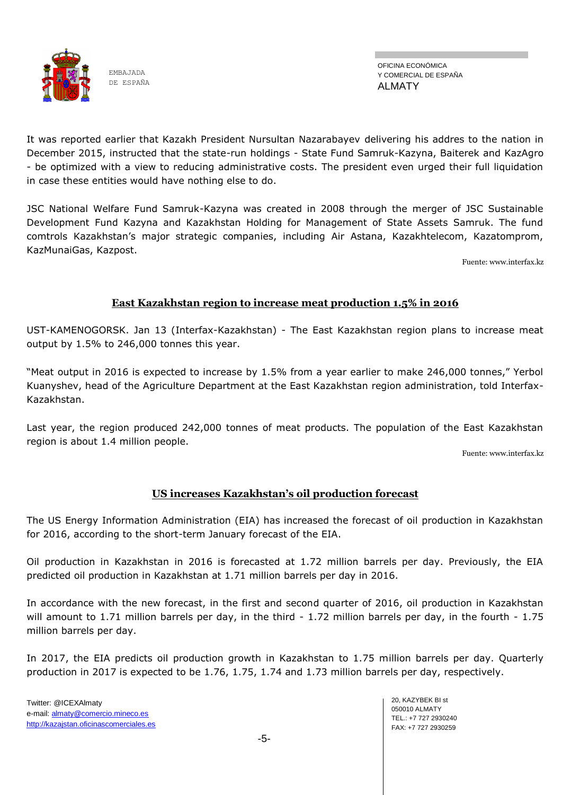

OFICINA ECONÓMICA Y COMERCIAL DE ESPAÑA ALMATY

It was reported earlier that Kazakh President Nursultan Nazarabayev delivering his addres to the nation in December 2015, instructed that the state-run holdings - State Fund Samruk-Kazyna, Baiterek and KazAgro - be optimized with a view to reducing administrative costs. The president even urged their full liquidation in case these entities would have nothing else to do.

JSC National Welfare Fund Samruk-Kazyna was created in 2008 through the merger of JSC Sustainable Development Fund Kazyna and Kazakhstan Holding for Management of State Assets Samruk. The fund comtrols Kazakhstan's major strategic companies, including Air Astana, Kazakhtelecom, Kazatomprom, KazMunaiGas, Kazpost.

Fuente[: www.interfax.kz](https://www.interfax.kz/)

#### **East Kazakhstan region to increase meat production 1.5% in 2016**

UST-KAMENOGORSK. Jan 13 (Interfax-Kazakhstan) - The East Kazakhstan region plans to increase meat output by 1.5% to 246,000 tonnes this year.

"Meat output in 2016 is expected to increase by 1.5% from a year earlier to make 246,000 tonnes," Yerbol Kuanyshev, head of the Agriculture Department at the East Kazakhstan region administration, told Interfax-Kazakhstan.

Last year, the region produced 242,000 tonnes of meat products. The population of the East Kazakhstan region is about 1.4 million people.

Fuente[: www.interfax.kz](https://www.interfax.kz/)

## **US increases Kazakhstan's oil production forecast**

The US Energy Information Administration (EIA) has increased the forecast of oil production in Kazakhstan for 2016, according to the short-term January forecast of the EIA.

Oil production in Kazakhstan in 2016 is forecasted at 1.72 million barrels per day. Previously, the EIA predicted oil production in Kazakhstan at 1.71 million barrels per day in 2016.

In accordance with the new forecast, in the first and second quarter of 2016, oil production in Kazakhstan will amount to 1.71 million barrels per day, in the third - 1.72 million barrels per day, in the fourth - 1.75 million barrels per day.

In 2017, the EIA predicts oil production growth in Kazakhstan to 1.75 million barrels per day. Quarterly production in 2017 is expected to be 1.76, 1.75, 1.74 and 1.73 million barrels per day, respectively.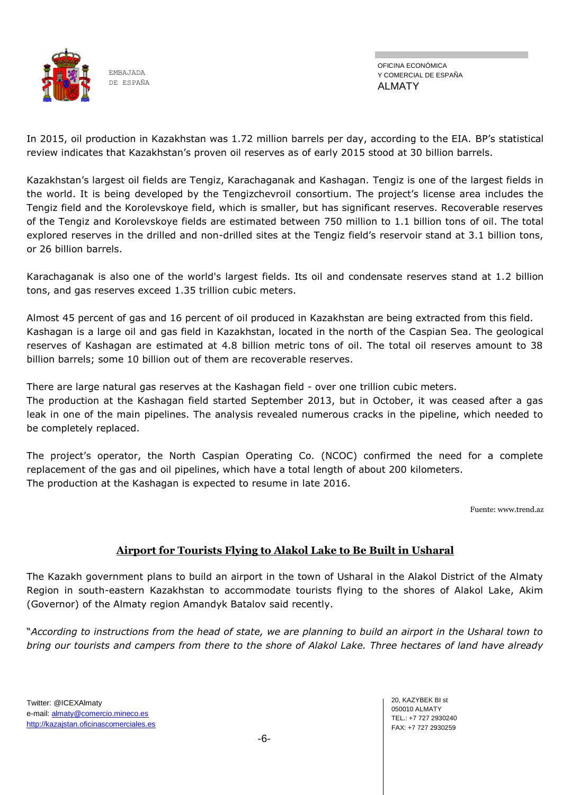

OFICINA ECONÓMICA Y COMERCIAL DE ESPAÑA ALMATY

In 2015, oil production in Kazakhstan was 1.72 million barrels per day, according to the EIA. BP's statistical review indicates that Kazakhstan's proven oil reserves as of early 2015 stood at 30 billion barrels.

Kazakhstan's largest oil fields are Tengiz, Karachaganak and Kashagan. Tengiz is one of the largest fields in the world. It is being developed by the Tengizchevroil consortium. The project's license area includes the Tengiz field and the Korolevskoye field, which is smaller, but has significant reserves. Recoverable reserves of the Tengiz and Korolevskoye fields are estimated between 750 million to 1.1 billion tons of oil. The total explored reserves in the drilled and non-drilled sites at the Tengiz field's reservoir stand at 3.1 billion tons, or 26 billion barrels.

Karachaganak is also one of the world's largest fields. Its oil and condensate reserves stand at 1.2 billion tons, and gas reserves exceed 1.35 trillion cubic meters.

Almost 45 percent of gas and 16 percent of oil produced in Kazakhstan are being extracted from this field. Kashagan is a large oil and gas field in Kazakhstan, located in the north of the Caspian Sea. The geological reserves of Kashagan are estimated at 4.8 billion metric tons of oil. The total oil reserves amount to 38 billion barrels; some 10 billion out of them are recoverable reserves.

There are large natural gas reserves at the Kashagan field - over one trillion cubic meters.

The production at the Kashagan field started September 2013, but in October, it was ceased after a gas leak in one of the main pipelines. The analysis revealed numerous cracks in the pipeline, which needed to be completely replaced.

The project's operator, the North Caspian Operating Co. (NCOC) confirmed the need for a complete replacement of the gas and oil pipelines, which have a total length of about 200 kilometers. The production at the Kashagan is expected to resume in late 2016.

Fuente: www.trend.az

#### **Airport for Tourists Flying to Alakol Lake to Be Built in Usharal**

The Kazakh government plans to build an airport in the town of Usharal in the Alakol District of the Almaty Region in south-eastern Kazakhstan to accommodate tourists flying to the shores of Alakol Lake, Akim (Governor) of the Almaty region Amandyk Batalov said recently.

―*According to instructions from the head of state, we are planning to build an airport in the Usharal town to bring our tourists and campers from there to the shore of Alakol Lake. Three hectares of land have already*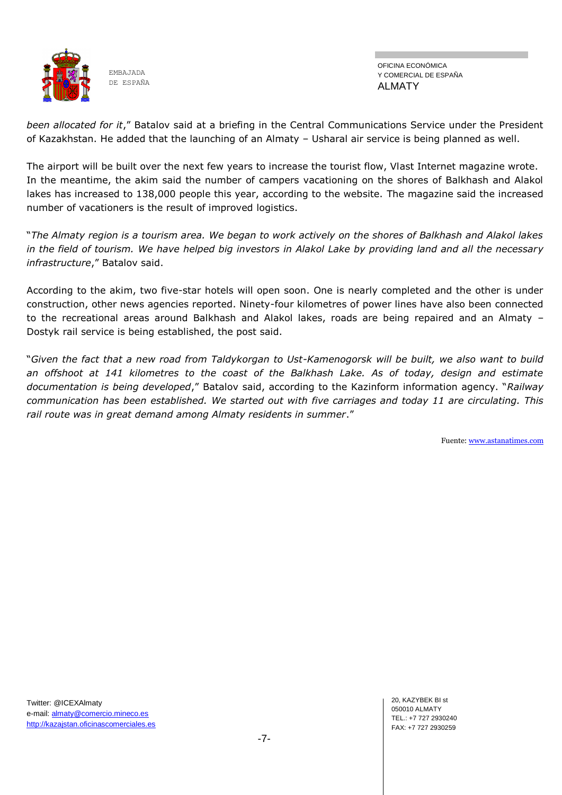

OFICINA ECONÓMICA Y COMERCIAL DE ESPAÑA ALMATY

*been allocated for it*,‖ Batalov said at a briefing in the Central Communications Service under the President of Kazakhstan. He added that the launching of an Almaty – Usharal air service is being planned as well.

The airport will be built over the next few years to increase the tourist flow, Vlast Internet magazine wrote. In the meantime, the akim said the number of campers vacationing on the shores of Balkhash and Alakol lakes has increased to 138,000 people this year, according to the website. The magazine said the increased number of vacationers is the result of improved logistics.

―*The Almaty region is a tourism area. We began to work actively on the shores of Balkhash and Alakol lakes in the field of tourism. We have helped big investors in Alakol Lake by providing land and all the necessary infrastructure*," Batalov said.

According to the akim, two five-star hotels will open soon. One is nearly completed and the other is under construction, other news agencies reported. Ninety-four kilometres of power lines have also been connected to the recreational areas around Balkhash and Alakol lakes, roads are being repaired and an Almaty – Dostyk rail service is being established, the post said.

―*Given the fact that a new road from Taldykorgan to Ust-Kamenogorsk will be built, we also want to build an offshoot at 141 kilometres to the coast of the Balkhash Lake. As of today, design and estimate*  documentation is being developed," Batalov said, according to the Kazinform information agency. "Railway *communication has been established. We started out with five carriages and today 11 are circulating. This rail route was in great demand among Almaty residents in summer*.‖

Fuente[: www.astanatimes.com](http://www.astanatimes.com/)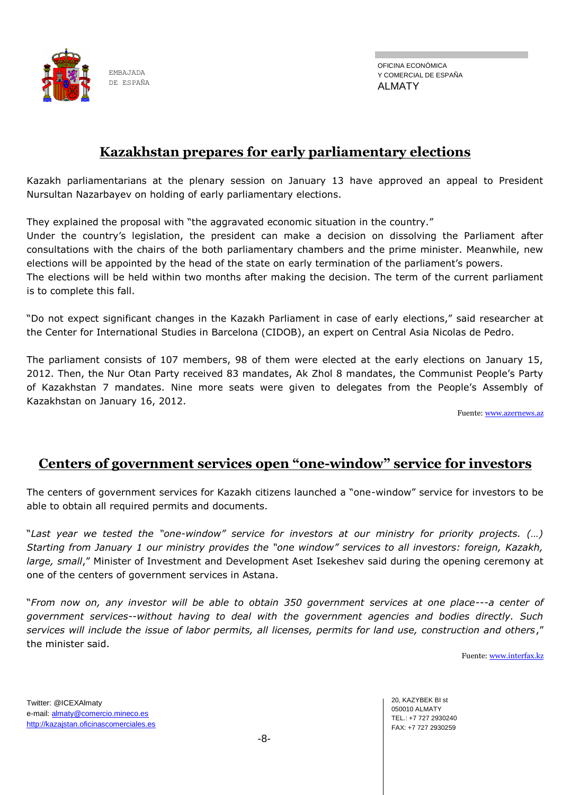

OFICINA ECONÓMICA Y COMERCIAL DE ESPAÑA ALMATY

## **Kazakhstan prepares for early parliamentary elections**

Kazakh parliamentarians at the plenary session on January 13 have approved an appeal to President Nursultan Nazarbayev on holding of early parliamentary elections.

They explained the proposal with "the aggravated economic situation in the country."

Under the country's legislation, the president can make a decision on dissolving the Parliament after consultations with the chairs of the both parliamentary chambers and the prime minister. Meanwhile, new elections will be appointed by the head of the state on early termination of the parliament's powers. The elections will be held within two months after making the decision. The term of the current parliament is to complete this fall.

"Do not expect significant changes in the Kazakh Parliament in case of early elections," said researcher at the Center for International Studies in Barcelona (CIDOB), an expert on Central Asia Nicolas de Pedro.

The parliament consists of 107 members, 98 of them were elected at the early elections on January 15, 2012. Then, the Nur Otan Party received 83 mandates, Ak Zhol 8 mandates, the Communist People's Party of Kazakhstan 7 mandates. Nine more seats were given to delegates from the People's Assembly of Kazakhstan on January 16, 2012.

Fuente: [www.azernews.az](http://www.azernews.az/)

## **Centers of government services open "one-window" service for investors**

The centers of government services for Kazakh citizens launched a "one-window" service for investors to be able to obtain all required permits and documents.

―*Last year we tested the "one-window" service for investors at our ministry for priority projects. (…) Starting from January 1 our ministry provides the "one window" services to all investors: foreign, Kazakh, large, small*," Minister of Investment and Development Aset Isekeshev said during the opening ceremony at one of the centers of government services in Astana.

―*From now on, any investor will be able to obtain 350 government services at one place---a center of government services--without having to deal with the government agencies and bodies directly. Such*  services will include the issue of labor permits, all licenses, permits for land use, construction and others," the minister said.

Fuente: [www.interfax.kz](http://www.interfax.kz/)

Twitter: @ICEXAlmaty e-mail: almaty@comercio.mineco.es http://kazajstan.oficinascomerciales.es 20, KAZYBEK BI st 050010 ALMATY TEL.: +7 727 2930240 FAX: +7 727 2930259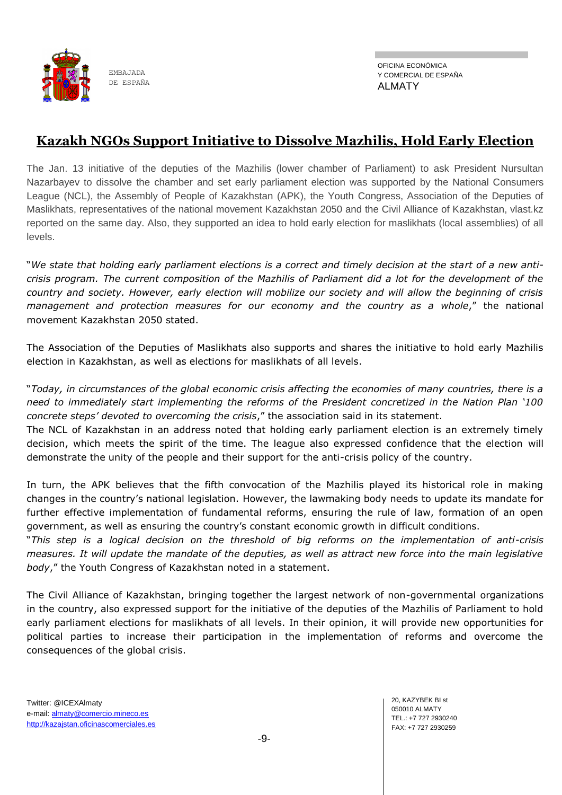

OFICINA ECONÓMICA Y COMERCIAL DE ESPAÑA ALMATY

# **Kazakh NGOs Support Initiative to Dissolve Mazhilis, Hold Early Election**

The Jan. 13 initiative of the deputies of the Mazhilis (lower chamber of Parliament) to ask President Nursultan Nazarbayev to dissolve the chamber and set early parliament election was supported by the National Consumers League (NCL), the Assembly of People of Kazakhstan (APK), the Youth Congress, Association of the Deputies of Maslikhats, representatives of the national movement Kazakhstan 2050 and the Civil Alliance of Kazakhstan, vlast.kz reported on the same day. Also, they supported an idea to hold early election for maslikhats (local assemblies) of all levels.

―*We state that holding early parliament elections is a correct and timely decision at the start of a new anticrisis program. The current composition of the Mazhilis of Parliament did a lot for the development of the country and society. However, early election will mobilize our society and will allow the beginning of crisis management and protection measures for our economy and the country as a whole,"* the national movement Kazakhstan 2050 stated.

The Association of the Deputies of Maslikhats also supports and shares the initiative to hold early Mazhilis election in Kazakhstan, as well as elections for maslikhats of all levels.

―*Today, in circumstances of the global economic crisis affecting the economies of many countries, there is a need to immediately start implementing the reforms of the President concretized in the Nation Plan "100 concrete steps' devoted to overcoming the crisis,"* the association said in its statement.

The NCL of Kazakhstan in an address noted that holding early parliament election is an extremely timely decision, which meets the spirit of the time. The league also expressed confidence that the election will demonstrate the unity of the people and their support for the anti-crisis policy of the country.

In turn, the APK believes that the fifth convocation of the Mazhilis played its historical role in making changes in the country's national legislation. However, the lawmaking body needs to update its mandate for further effective implementation of fundamental reforms, ensuring the rule of law, formation of an open government, as well as ensuring the country's constant economic growth in difficult conditions.

―*This step is a logical decision on the threshold of big reforms on the implementation of anti-crisis measures. It will update the mandate of the deputies, as well as attract new force into the main legislative*  body," the Youth Congress of Kazakhstan noted in a statement.

The Civil Alliance of Kazakhstan, bringing together the largest network of non-governmental organizations in the country, also expressed support for the initiative of the deputies of the Mazhilis of Parliament to hold early parliament elections for maslikhats of all levels. In their opinion, it will provide new opportunities for political parties to increase their participation in the implementation of reforms and overcome the consequences of the global crisis.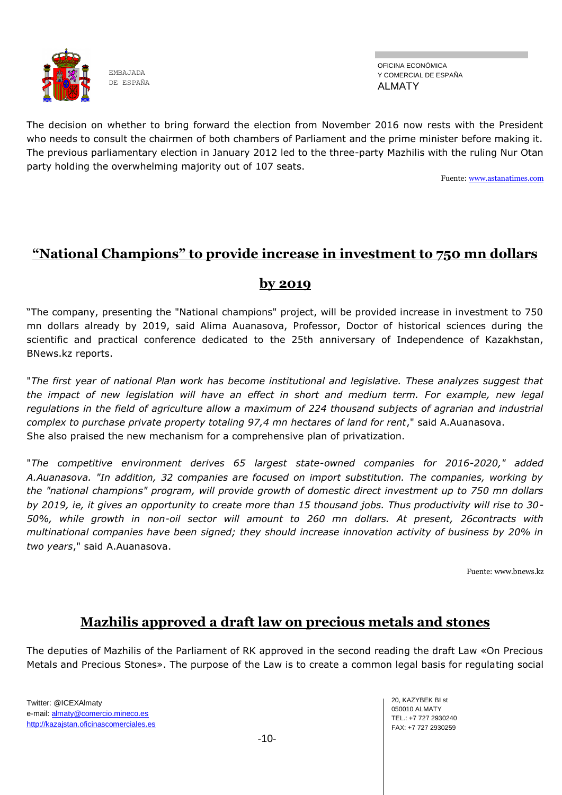

OFICINA ECONÓMICA Y COMERCIAL DE ESPAÑA ALMATY

The decision on whether to bring forward the election from November 2016 now rests with the President who needs to consult the chairmen of both chambers of Parliament and the prime minister before making it. The previous parliamentary election in January 2012 led to the three-party Mazhilis with the ruling Nur Otan party holding the overwhelming majority out of 107 seats.

Fuente: [www.astanatimes.com](http://www.astanatimes.com/)

## **"National Champions" to provide increase in investment to 750 mn dollars**

## **by 2019**

―The company, presenting the "National champions" project, will be provided increase in investment to 750 mn dollars already by 2019, said Alima Auanasova, Professor, Doctor of historical sciences during the scientific and practical conference dedicated to the 25th anniversary of Independence of Kazakhstan, BNews.kz reports.

"*The first year of national Plan work has become institutional and legislative. These analyzes suggest that the impact of new legislation will have an effect in short and medium term. For example, new legal regulations in the field of agriculture allow a maximum of 224 thousand subjects of agrarian and industrial complex to purchase private property totaling 97,4 mn hectares of land for rent*," said A.Auanasova. She also praised the new mechanism for a comprehensive plan of privatization.

"*The competitive environment derives 65 largest state-owned companies for 2016-2020," added A.Auanasova. "In addition, 32 companies are focused on import substitution. The companies, working by the "national champions" program, will provide growth of domestic direct investment up to 750 mn dollars by 2019, ie, it gives an opportunity to create more than 15 thousand jobs. Thus productivity will rise to 30- 50%, while growth in non-oil sector will amount to 260 mn dollars. At present, 26contracts with multinational companies have been signed; they should increase innovation activity of business by 20% in two years*," said A.Auanasova.

Fuente: www.bnews.kz

# **Mazhilis approved a draft law on precious metals and stones**

The deputies of Mazhilis of the Parliament of RK approved in the second reading the draft Law «On Precious Metals and Precious Stones». The purpose of the Law is to create a common legal basis for regulating social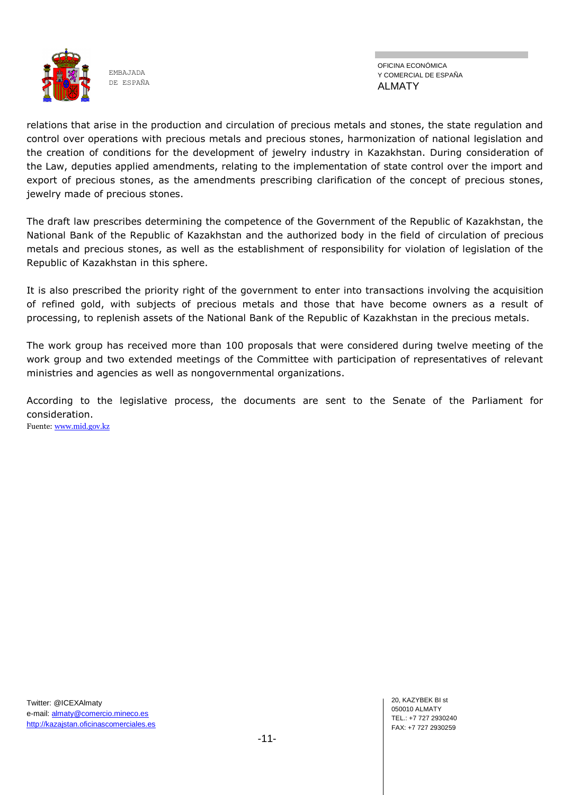

OFICINA ECONÓMICA Y COMERCIAL DE ESPAÑA ALMATY

relations that arise in the production and circulation of precious metals and stones, the state regulation and control over operations with precious metals and precious stones, harmonization of national legislation and the creation of conditions for the development of jewelry industry in Kazakhstan. During consideration of the Law, deputies applied amendments, relating to the implementation of state control over the import and export of precious stones, as the amendments prescribing clarification of the concept of precious stones, jewelry made of precious stones.

The draft law prescribes determining the competence of the Government of the Republic of Kazakhstan, the National Bank of the Republic of Kazakhstan and the authorized body in the field of circulation of precious metals and precious stones, as well as the establishment of responsibility for violation of legislation of the Republic of Kazakhstan in this sphere.

It is also prescribed the priority right of the government to enter into transactions involving the acquisition of refined gold, with subjects of precious metals and those that have become owners as a result of processing, to replenish assets of the National Bank of the Republic of Kazakhstan in the precious metals.

The work group has received more than 100 proposals that were considered during twelve meeting of the work group and two extended meetings of the Committee with participation of representatives of relevant ministries and agencies as well as nongovernmental organizations.

According to the legislative process, the documents are sent to the Senate of the Parliament for consideration. Fuente: [www.mid.gov.kz](http://www.mid.gov.kz/)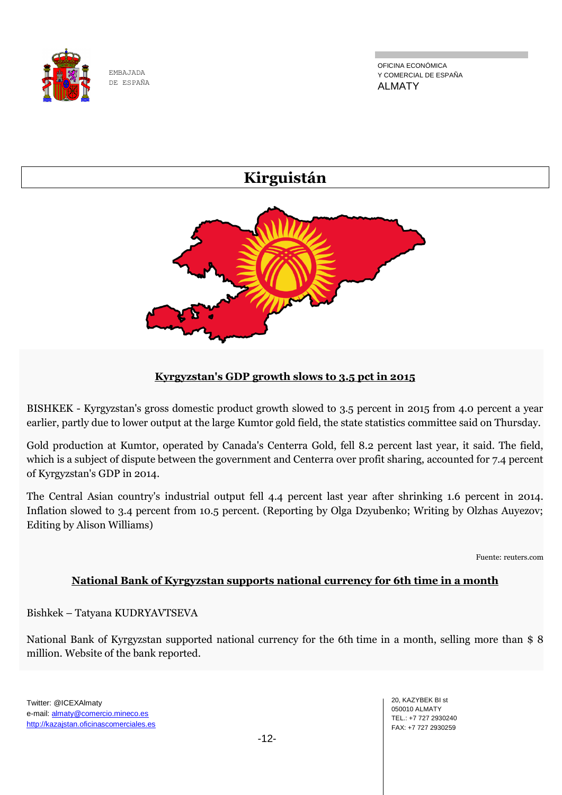

OFICINA ECONÓMICA Y COMERCIAL DE ESPAÑA ALMATY

# **Kirguistán**



### **Kyrgyzstan's GDP growth slows to 3.5 pct in 2015**

BISHKEK - Kyrgyzstan's gross domestic product growth slowed to 3.5 percent in 2015 from 4.0 percent a year earlier, partly due to lower output at the large Kumtor gold field, the state statistics committee said on Thursday.

Gold production at Kumtor, operated by Canada's Centerra Gold, fell 8.2 percent last year, it said. The field, which is a subject of dispute between the government and Centerra over profit sharing, accounted for 7.4 percent of Kyrgyzstan's GDP in 2014.

The Central Asian country's industrial output fell 4.4 percent last year after shrinking 1.6 percent in 2014. Inflation slowed to 3.4 percent from 10.5 percent. (Reporting by Olga Dzyubenko; Writing by Olzhas Auyezov; Editing by Alison Williams)

Fuente: reuters.com

#### **National Bank of Kyrgyzstan supports national currency for 6th time in a month**

Bishkek – Tatyana KUDRYAVTSEVA

National Bank of Kyrgyzstan supported national currency for the 6th time in a month, selling more than \$ 8 million. Website of the bank reported.

20, KAZYBEK BI st 050010 ALMATY TEL.: +7 727 2930240 FAX: +7 727 2930259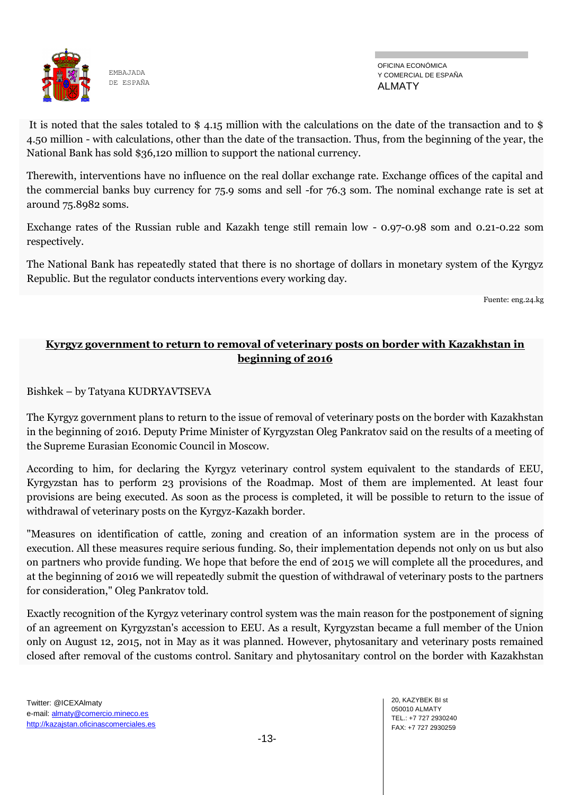

OFICINA ECONÓMICA Y COMERCIAL DE ESPAÑA ALMATY

It is noted that the sales totaled to \$ 4.15 million with the calculations on the date of the transaction and to \$ 4.50 million - with calculations, other than the date of the transaction. Thus, from the beginning of the year, the National Bank has sold \$36,120 million to support the national currency.

Therewith, interventions have no influence on the real dollar exchange rate. Exchange offices of the capital and the commercial banks buy currency for 75.9 soms and sell -for 76.3 som. The nominal exchange rate is set at around 75.8982 soms.

Exchange rates of the Russian ruble and Kazakh tenge still remain low - 0.97-0.98 som and 0.21-0.22 som respectively.

The National Bank has repeatedly stated that there is no shortage of dollars in monetary system of the Kyrgyz Republic. But the regulator conducts interventions every working day.

Fuente: eng.24.kg

## **Kyrgyz government to return to removal of veterinary posts on border with Kazakhstan in beginning of 2016**

Bishkek – by Tatyana KUDRYAVTSEVA

The Kyrgyz government plans to return to the issue of removal of veterinary posts on the border with Kazakhstan in the beginning of 2016. Deputy Prime Minister of Kyrgyzstan Oleg Pankratov said on the results of a meeting of the Supreme Eurasian Economic Council in Moscow.

According to him, for declaring the Kyrgyz veterinary control system equivalent to the standards of EEU, Kyrgyzstan has to perform 23 provisions of the Roadmap. Most of them are implemented. At least four provisions are being executed. As soon as the process is completed, it will be possible to return to the issue of withdrawal of veterinary posts on the Kyrgyz-Kazakh border.

"Measures on identification of cattle, zoning and creation of an information system are in the process of execution. All these measures require serious funding. So, their implementation depends not only on us but also on partners who provide funding. We hope that before the end of 2015 we will complete all the procedures, and at the beginning of 2016 we will repeatedly submit the question of withdrawal of veterinary posts to the partners for consideration," Oleg Pankratov told.

Exactly recognition of the Kyrgyz veterinary control system was the main reason for the postponement of signing of an agreement on Kyrgyzstan's accession to EEU. As a result, Kyrgyzstan became a full member of the Union only on August 12, 2015, not in May as it was planned. However, phytosanitary and veterinary posts remained closed after removal of the customs control. Sanitary and phytosanitary control on the border with Kazakhstan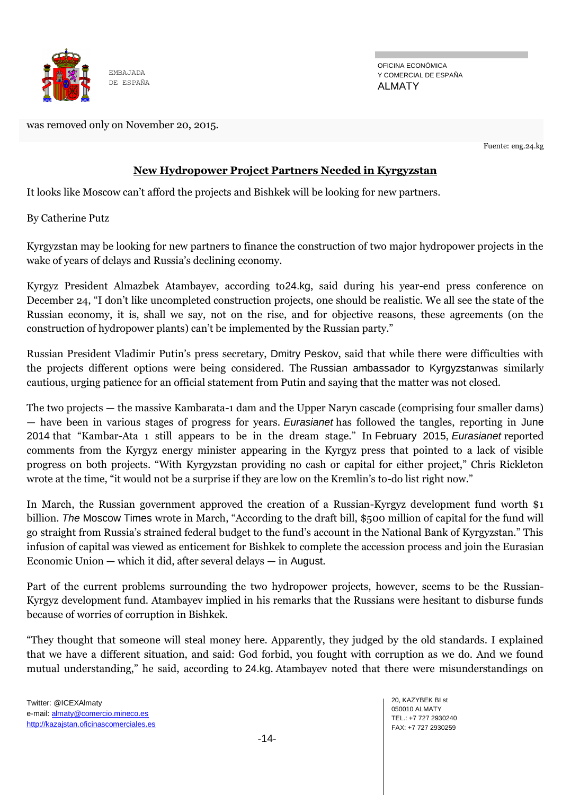

OFICINA ECONÓMICA Y COMERCIAL DE ESPAÑA ALMATY

was removed only on November 20, 2015.

Fuente: eng.24.kg

#### **New Hydropower Project Partners Needed in Kyrgyzstan**

It looks like Moscow can't afford the projects and Bishkek will be looking for new partners.

By [Catherine Putz](http://thediplomat.com/authors/catherine-putz/)

Kyrgyzstan may be looking for new partners to finance the construction of two major hydropower projects in the wake of years of delays and Russia's declining economy.

Kyrgyz President Almazbek Atambayev, according to[24.kg](http://www.eng.24.kg/economics/178636-news24.html), said during his year-end press conference on December 24, "I don't like uncompleted construction projects, one should be realistic. We all see the state of the Russian economy, it is, shall we say, not on the rise, and for objective reasons, these agreements (on the construction of hydropower plants) can't be implemented by the Russian party."

Russian President Vladimir Putin's press secretary, [Dmitry Peskov](http://www.eng.24.kg/evraziasoyuz/178644-news24.html), said that while there were difficulties with the projects different options were being considered. The [Russian ambassador to Kyrgyzstan](http://www.eng.24.kg/economics/178652-news24.html)was similarly cautious, urging patience for an official statement from Putin and saying that the matter was not closed.

The two projects — the massive Kambarata-1 dam and the Upper Naryn cascade (comprising four smaller dams) — have been in various stages of progress for years. *Eurasianet* has followed the tangles, reporting in [June](http://www.eurasianet.org/node/68741)  [2014](http://www.eurasianet.org/node/68741) that ―Kambar-Ata 1 still appears to be in the dream stage.‖ In [February 2015](http://www.eurasianet.org/node/72101), *Eurasianet* reported comments from the Kyrgyz energy minister appearing in the Kyrgyz press that pointed to a lack of visible progress on both projects. "With Kyrgyzstan providing no cash or capital for either project," Chris Rickleton wrote at the time, "it would not be a surprise if they are low on the Kremlin's to-do list right now."

In March, the Russian government approved the creation of a Russian-Kyrgyz development fund worth \$1 billion. *The* [Moscow Times](http://www.themoscowtimes.com/business/article/russian-government-approves-giving-1-billion-to-kyrgyz-development-fund/518150.html) wrote in March, "According to the draft bill, \$500 million of capital for the fund will go straight from Russia's strained federal budget to the fund's account in the National Bank of Kyrgyzstan.‖ This infusion of capital was viewed as enticement for Bishkek to complete the accession process and join the Eurasian Economic Union — which it did, after several delays — in [August](http://www.rferl.org/content/kyrgyzstan-eurasian-economic-union/27184629.html).

Part of the current problems surrounding the two hydropower projects, however, seems to be the Russian-Kyrgyz development fund. Atambayev implied in his remarks that the Russians were hesitant to disburse funds because of worries of corruption in Bishkek.

―They thought that someone will steal money here. Apparently, they judged by the old standards. I explained that we have a different situation, and said: God forbid, you fought with corruption as we do. And we found mutual understanding," he said, according to [24.kg](http://www.eng.24.kg/community/178639-news24.html). Atambayev noted that there were misunderstandings on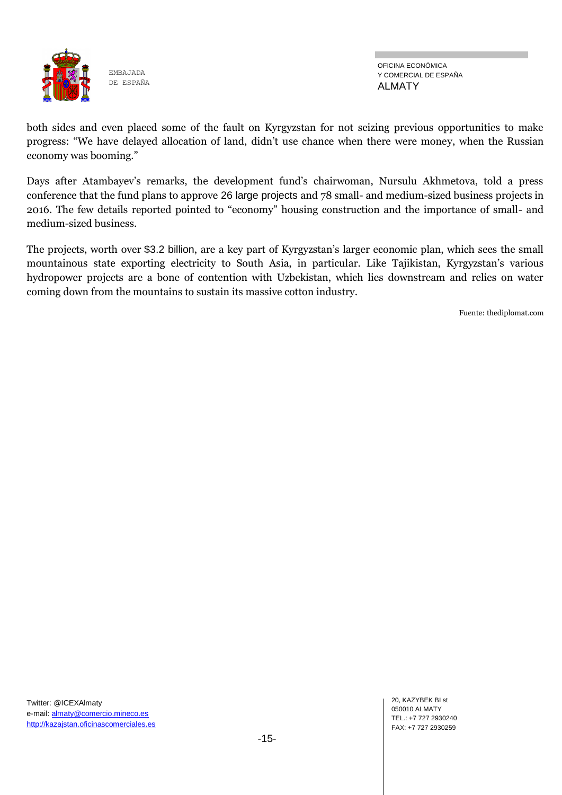

OFICINA ECONÓMICA Y COMERCIAL DE ESPAÑA ALMATY

both sides and even placed some of the fault on Kyrgyzstan for not seizing previous opportunities to make progress: "We have delayed allocation of land, didn't use chance when there were money, when the Russian economy was booming."

Days after Atambayev's remarks, the development fund's chairwoman, Nursulu Akhmetova, told a press conference that the fund plans to approve [26 large projects](http://www.eng.24.kg/economics/178682-news24.html) and 78 small- and medium-sized business projects in 2016. The few details reported pointed to "economy" housing construction and the importance of small- and medium-sized business.

The projects, worth over [\\$3.2 billion](http://www.rferl.org/content/kyrgyz-leader-says-russia-cant-finance-two-big-power-projects/27448434.html), are a key part of Kyrgyzstan's larger economic plan, which sees the small mountainous state exporting electricity to South Asia, in particular. Like Tajikistan, Kyrgyzstan's various hydropower projects are a bone of contention with Uzbekistan, which lies downstream and relies on water coming down from the mountains to sustain its massive cotton industry.

Fuente: thediplomat.com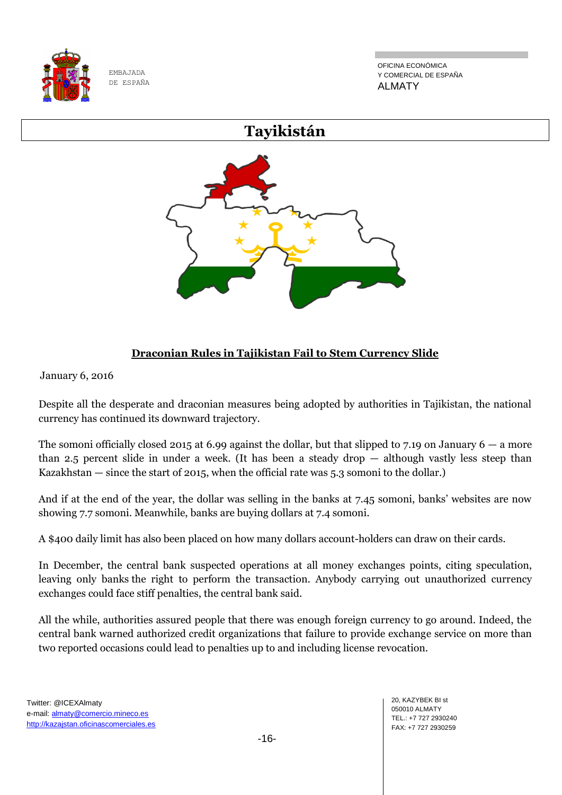

OFICINA ECONÓMICA Y COMERCIAL DE ESPAÑA ALMATY

# **Tayikistán**

## **Draconian Rules in Tajikistan Fail to Stem Currency Slide**

January 6, 2016

Despite all the desperate and draconian measures being adopted by authorities in Tajikistan, the national currency has continued its downward trajectory.

The somoni officially closed 2015 at 6.99 against the dollar, but that slipped to 7.19 on January  $6 - a$  more than 2.5 percent slide in under a week. (It has been a steady drop  $-$  although vastly less steep than Kazakhstan — since the start of 2015, when the official rate was 5.3 somoni to the dollar.)

And if at the end of the year, the dollar was selling in the banks at 7.45 somoni, banks' websites are now showing 7.7 somoni. Meanwhile, banks are buying dollars at 7.4 somoni.

A \$400 daily limit has also been placed on how many dollars account-holders can draw on their cards.

In December, the central bank suspected operations at all money exchanges points, citing speculation, leaving only banks the right to perform the transaction. Anybody carrying out unauthorized currency exchanges could face stiff penalties, the central bank said.

All the while, authorities assured people that there was enough foreign currency to go around. Indeed, the central bank warned authorized credit organizations that failure to provide exchange service on more than two reported occasions could lead to penalties up to and including license revocation.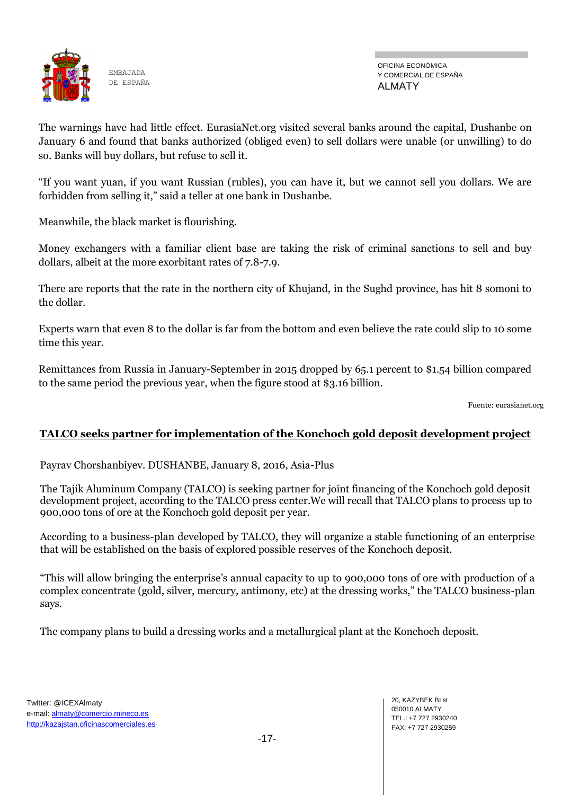

OFICINA ECONÓMICA Y COMERCIAL DE ESPAÑA ALMATY

The warnings have had little effect. EurasiaNet.org visited several banks around the capital, Dushanbe on January 6 and found that banks authorized (obliged even) to sell dollars were unable (or unwilling) to do so. Banks will buy dollars, but refuse to sell it.

"If you want yuan, if you want Russian (rubles), you can have it, but we cannot sell you dollars. We are forbidden from selling it," said a teller at one bank in Dushanbe.

Meanwhile, the black market is flourishing.

Money exchangers with a familiar client base are taking the risk of criminal sanctions to sell and buy dollars, albeit at the more exorbitant rates of 7.8-7.9.

There are reports that the rate in the northern city of Khujand, in the Sughd province, has hit 8 somoni to the dollar.

Experts warn that even 8 to the dollar is far from the bottom and even believe the rate could slip to 10 some time this year.

Remittances from Russia in January-September in 2015 dropped by 65.1 percent to \$1.54 billion compared to the same period the previous year, when the figure stood at \$3.16 billion.

Fuente: eurasianet.org

### **TALCO seeks partner for implementation of the Konchoch gold deposit development project**

Payrav Chorshanbiyev. DUSHANBE, January 8, 2016, Asia-Plus

The Tajik Aluminum Company (TALCO) is seeking partner for joint financing of the Konchoch gold deposit development project, according to the TALCO press center.We will recall that TALCO plans to process up to 900,000 tons of ore at the Konchoch gold deposit per year.

According to a business-plan developed by TALCO, they will organize a stable functioning of an enterprise that will be established on the basis of explored possible reserves of the Konchoch deposit.

―This will allow bringing the enterprise's annual capacity to up to 900,000 tons of ore with production of a complex concentrate (gold, silver, mercury, antimony, etc) at the dressing works," the TALCO business-plan says.

The company plans to build a dressing works and a metallurgical plant at the Konchoch deposit.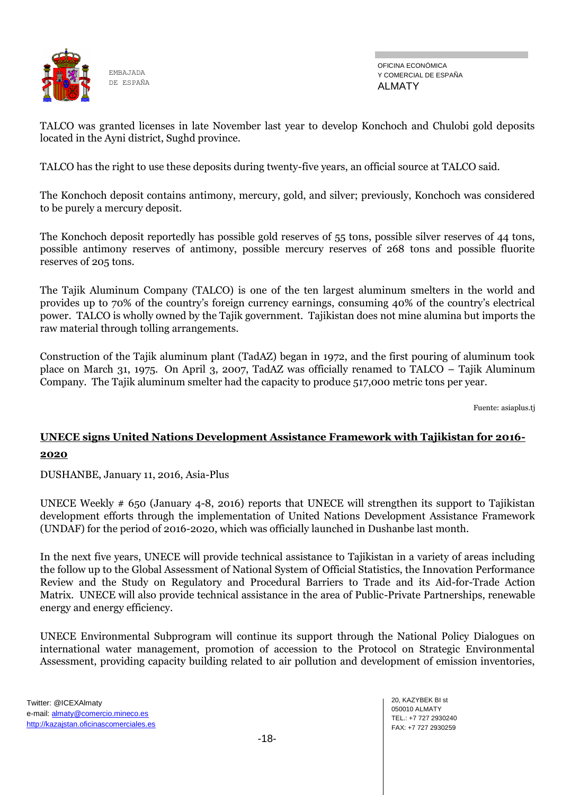

OFICINA ECONÓMICA Y COMERCIAL DE ESPAÑA ALMATY

TALCO was granted licenses in late November last year to develop Konchoch and Chulobi gold deposits located in the Ayni district, Sughd province.

TALCO has the right to use these deposits during twenty-five years, an official source at TALCO said.

The Konchoch deposit contains antimony, mercury, gold, and silver; previously, Konchoch was considered to be purely a mercury deposit.

The Konchoch deposit reportedly has possible gold reserves of 55 tons, possible silver reserves of 44 tons, possible antimony reserves of antimony, possible mercury reserves of 268 tons and possible fluorite reserves of 205 tons.

The Tajik Aluminum Company (TALCO) is one of the ten largest aluminum smelters in the world and provides up to 70% of the country's foreign currency earnings, consuming 40% of the country's electrical power. TALCO is wholly owned by the Tajik government. Tajikistan does not mine alumina but imports the raw material through tolling arrangements.

Construction of the Tajik aluminum plant (TadAZ) began in 1972, and the first pouring of aluminum took place on March 31, 1975. On April 3, 2007, TadAZ was officially renamed to TALCO – Tajik Aluminum Company. The Tajik aluminum smelter had the capacity to produce 517,000 metric tons per year.

Fuente: asiaplus.tj

## **UNECE signs United Nations Development Assistance Framework with Tajikistan for 2016- 2020**

DUSHANBE, January 11, 2016, Asia-Plus

UNECE Weekly # 650 (January 4-8, 2016) reports that UNECE will strengthen its support to Tajikistan development efforts through the implementation of United Nations Development Assistance Framework (UNDAF) for the period of 2016-2020, which was officially launched in Dushanbe last month.

In the next five years, UNECE will provide technical assistance to Tajikistan in a variety of areas including the follow up to the Global Assessment of National System of Official Statistics, the Innovation Performance Review and the Study on Regulatory and Procedural Barriers to Trade and its Aid-for-Trade Action Matrix. UNECE will also provide technical assistance in the area of Public-Private Partnerships, renewable energy and energy efficiency.

UNECE Environmental Subprogram will continue its support through the National Policy Dialogues on international water management, promotion of accession to the Protocol on Strategic Environmental Assessment, providing capacity building related to air pollution and development of emission inventories,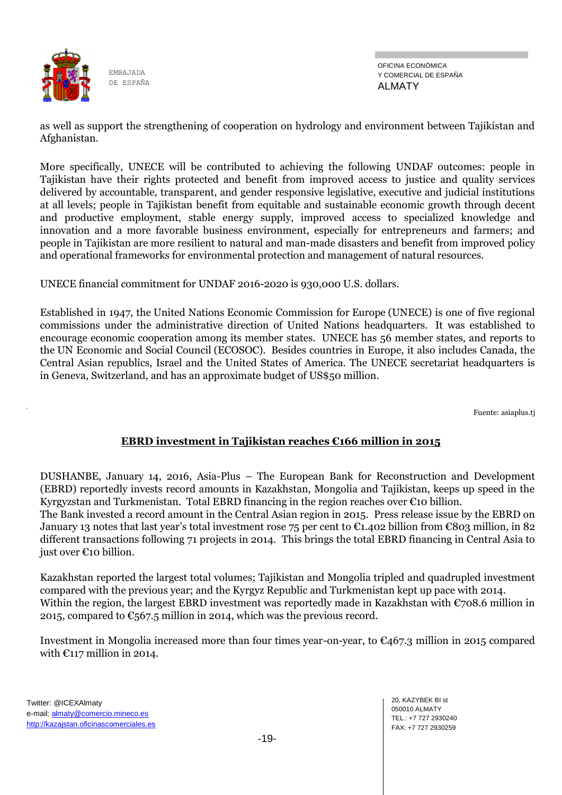

OFICINA ECONÓMICA Y COMERCIAL DE ESPAÑA ALMATY

as well as support the strengthening of cooperation on hydrology and environment between Tajikistan and Afghanistan.

More specifically, UNECE will be contributed to achieving the following UNDAF outcomes: people in Tajikistan have their rights protected and benefit from improved access to justice and quality services delivered by accountable, transparent, and gender responsive legislative, executive and judicial institutions at all levels; people in Tajikistan benefit from equitable and sustainable economic growth through decent and productive employment, stable energy supply, improved access to specialized knowledge and innovation and a more favorable business environment, especially for entrepreneurs and farmers; and people in Tajikistan are more resilient to natural and man-made disasters and benefit from improved policy and operational frameworks for environmental protection and management of natural resources.

UNECE financial commitment for UNDAF 2016-2020 is 930,000 U.S. dollars.

Established in 1947, the United Nations Economic Commission for Europe (UNECE) is one of five regional commissions under the administrative direction of United Nations headquarters. It was established to encourage economic cooperation among its member states. UNECE has 56 member states, and reports to the UN Economic and Social Council (ECOSOC). Besides countries in Europe, it also includes Canada, the Central Asian republics, Israel and the United States of America. The UNECE secretariat headquarters is in Geneva, Switzerland, and has an approximate budget of US\$50 million.

Fuente: asiaplus.tj

### **EBRD investment in Tajikistan reaches €166 million in 2015**

DUSHANBE, January 14, 2016, Asia-Plus – The European Bank for Reconstruction and Development (EBRD) reportedly invests record amounts in Kazakhstan, Mongolia and Tajikistan, keeps up speed in the Kyrgyzstan and Turkmenistan. Total EBRD financing in the region reaches over  $\epsilon$ 10 billion.

The Bank invested a record amount in the Central Asian region in 2015. Press release issue by the EBRD on January 13 notes that last year's total investment rose 75 per cent to  $\epsilon$ 1.402 billion from  $\epsilon$ 803 million, in 82 different transactions following 71 projects in 2014. This brings the total EBRD financing in Central Asia to just over €10 billion.

Kazakhstan reported the largest total volumes; Tajikistan and Mongolia tripled and quadrupled investment compared with the previous year; and the Kyrgyz Republic and Turkmenistan kept up pace with 2014. Within the region, the largest EBRD investment was reportedly made in Kazakhstan with €708.6 million in 2015, compared to  $\mathfrak{C}_5$ 67.5 million in 2014, which was the previous record.

Investment in Mongolia increased more than four times year-on-year, to  $\mathfrak{C}_4$ 67.3 million in 2015 compared with  $\epsilon$ 117 million in 2014.